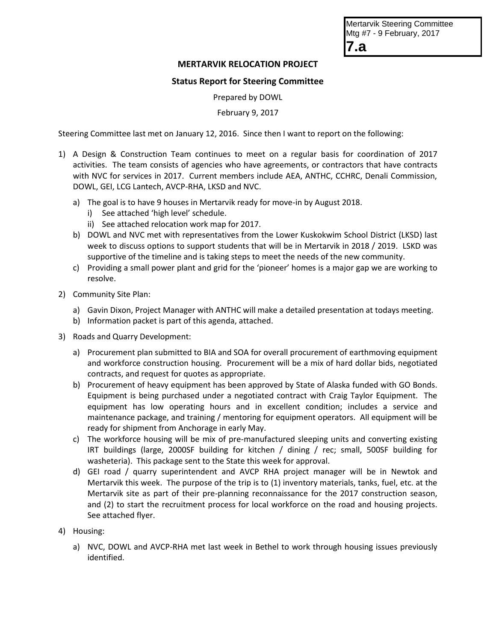| <b>Mertarvik Steering Committee</b> |
|-------------------------------------|
| Mtg #7 - 9 February, 2017           |
| l7.a                                |

## **MERTARVIK RELOCATION PROJECT**

## **Status Report for Steering Committee**

Prepared by DOWL

February 9, 2017

Steering Committee last met on January 12, 2016. Since then I want to report on the following:

- 1) A Design & Construction Team continues to meet on a regular basis for coordination of 2017 activities. The team consists of agencies who have agreements, or contractors that have contracts with NVC for services in 2017. Current members include AEA, ANTHC, CCHRC, Denali Commission, DOWL, GEI, LCG Lantech, AVCP-RHA, LKSD and NVC.
	- a) The goal is to have 9 houses in Mertarvik ready for move-in by August 2018.
		- i) See attached 'high level' schedule.
		- ii) See attached relocation work map for 2017.
	- b) DOWL and NVC met with representatives from the Lower Kuskokwim School District (LKSD) last week to discuss options to support students that will be in Mertarvik in 2018 / 2019. LSKD was supportive of the timeline and is taking steps to meet the needs of the new community.
	- c) Providing a small power plant and grid for the 'pioneer' homes is a major gap we are working to resolve.
- 2) Community Site Plan:
	- a) Gavin Dixon, Project Manager with ANTHC will make a detailed presentation at todays meeting.
	- b) Information packet is part of this agenda, attached.
- 3) Roads and Quarry Development:
	- a) Procurement plan submitted to BIA and SOA for overall procurement of earthmoving equipment and workforce construction housing. Procurement will be a mix of hard dollar bids, negotiated contracts, and request for quotes as appropriate.
	- b) Procurement of heavy equipment has been approved by State of Alaska funded with GO Bonds. Equipment is being purchased under a negotiated contract with Craig Taylor Equipment. The equipment has low operating hours and in excellent condition; includes a service and maintenance package, and training / mentoring for equipment operators. All equipment will be ready for shipment from Anchorage in early May.
	- c) The workforce housing will be mix of pre-manufactured sleeping units and converting existing IRT buildings (large, 2000SF building for kitchen / dining / rec; small, 500SF building for washeteria). This package sent to the State this week for approval.
	- d) GEI road / quarry superintendent and AVCP RHA project manager will be in Newtok and Mertarvik this week. The purpose of the trip is to (1) inventory materials, tanks, fuel, etc. at the Mertarvik site as part of their pre-planning reconnaissance for the 2017 construction season, and (2) to start the recruitment process for local workforce on the road and housing projects. See attached flyer.
- 4) Housing:
	- a) NVC, DOWL and AVCP-RHA met last week in Bethel to work through housing issues previously identified.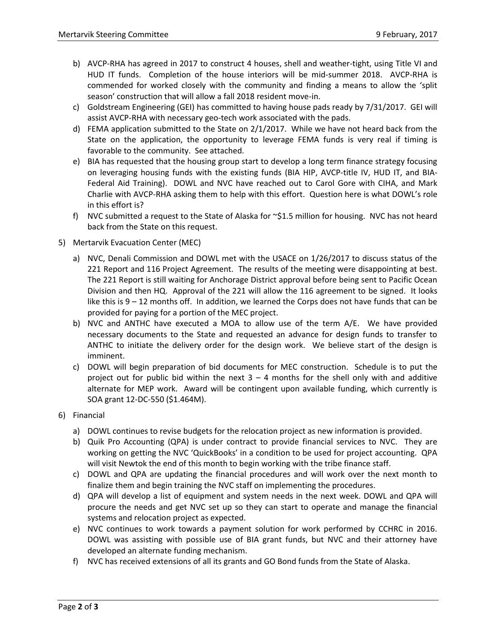- b) AVCP-RHA has agreed in 2017 to construct 4 houses, shell and weather-tight, using Title VI and HUD IT funds. Completion of the house interiors will be mid-summer 2018. AVCP-RHA is commended for worked closely with the community and finding a means to allow the 'split season' construction that will allow a fall 2018 resident move-in.
- c) Goldstream Engineering (GEI) has committed to having house pads ready by 7/31/2017. GEI will assist AVCP-RHA with necessary geo-tech work associated with the pads.
- d) FEMA application submitted to the State on 2/1/2017. While we have not heard back from the State on the application, the opportunity to leverage FEMA funds is very real if timing is favorable to the community. See attached.
- e) BIA has requested that the housing group start to develop a long term finance strategy focusing on leveraging housing funds with the existing funds (BIA HIP, AVCP-title IV, HUD IT, and BIA-Federal Aid Training). DOWL and NVC have reached out to Carol Gore with CIHA, and Mark Charlie with AVCP-RHA asking them to help with this effort. Question here is what DOWL's role in this effort is?
- f) NVC submitted a request to the State of Alaska for  $\sim$ \$1.5 million for housing. NVC has not heard back from the State on this request.
- 5) Mertarvik Evacuation Center (MEC)
	- a) NVC, Denali Commission and DOWL met with the USACE on 1/26/2017 to discuss status of the 221 Report and 116 Project Agreement. The results of the meeting were disappointing at best. The 221 Report is still waiting for Anchorage District approval before being sent to Pacific Ocean Division and then HQ. Approval of the 221 will allow the 116 agreement to be signed. It looks like this is 9 – 12 months off. In addition, we learned the Corps does not have funds that can be provided for paying for a portion of the MEC project.
	- b) NVC and ANTHC have executed a MOA to allow use of the term A/E. We have provided necessary documents to the State and requested an advance for design funds to transfer to ANTHC to initiate the delivery order for the design work. We believe start of the design is imminent.
	- c) DOWL will begin preparation of bid documents for MEC construction. Schedule is to put the project out for public bid within the next  $3 - 4$  months for the shell only with and additive alternate for MEP work. Award will be contingent upon available funding, which currently is SOA grant 12-DC-550 (\$1.464M).
- 6) Financial
	- a) DOWL continues to revise budgets for the relocation project as new information is provided.
	- b) Quik Pro Accounting (QPA) is under contract to provide financial services to NVC. They are working on getting the NVC 'QuickBooks' in a condition to be used for project accounting. QPA will visit Newtok the end of this month to begin working with the tribe finance staff.
	- c) DOWL and QPA are updating the financial procedures and will work over the next month to finalize them and begin training the NVC staff on implementing the procedures.
	- d) QPA will develop a list of equipment and system needs in the next week. DOWL and QPA will procure the needs and get NVC set up so they can start to operate and manage the financial systems and relocation project as expected.
	- e) NVC continues to work towards a payment solution for work performed by CCHRC in 2016. DOWL was assisting with possible use of BIA grant funds, but NVC and their attorney have developed an alternate funding mechanism.
	- f) NVC has received extensions of all its grants and GO Bond funds from the State of Alaska.